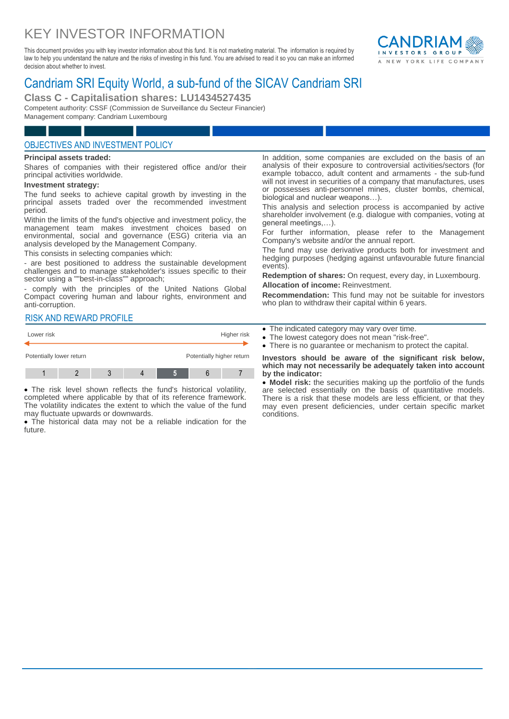# KEY INVESTOR INFORMATION

This document provides you with key investor information about this fund. It is not marketing material. The information is required by law to help you understand the nature and the risks of investing in this fund. You are advised to read it so you can make an informed decision about whether to invest.



## Candriam SRI Equity World, a sub-fund of the SICAV Candriam SRI

**Class C - Capitalisation shares: LU1434527435**

Competent authority: CSSF (Commission de Surveillance du Secteur Financier) Management company: Candriam Luxembourg

## OBJECTIVES AND INVESTMENT POLICY

#### **Principal assets traded:**

Shares of companies with their registered office and/or their principal activities worldwide.

#### **Investment strategy:**

The fund seeks to achieve capital growth by investing in the principal assets traded over the recommended investment period.

Within the limits of the fund's objective and investment policy, the management team makes investment choices based on environmental, social and governance (ESG) criteria via an analysis developed by the Management Company.

This consists in selecting companies which:

- are best positioned to address the sustainable development challenges and to manage stakeholder's issues specific to their sector using a ""best-in-class"" approach;

comply with the principles of the United Nations Global Compact covering human and labour rights, environment and anti-corruption.

#### RISK AND REWARD PROFILE



 The risk level shown reflects the fund's historical volatility, completed where applicable by that of its reference framework. The volatility indicates the extent to which the value of the fund may fluctuate upwards or downwards.

 The historical data may not be a reliable indication for the future.

In addition, some companies are excluded on the basis of an analysis of their exposure to controversial activities/sectors (for example tobacco, adult content and armaments - the sub-fund will not invest in securities of a company that manufactures, uses or possesses anti-personnel mines, cluster bombs, chemical, biological and nuclear weapons…).

This analysis and selection process is accompanied by active shareholder involvement (e.g. dialogue with companies, voting at general meetings,…).

For further information, please refer to the Management Company's website and/or the annual report.

The fund may use derivative products both for investment and hedging purposes (hedging against unfavourable future financial events).

**Redemption of shares:** On request, every day, in Luxembourg. **Allocation of income:** Reinvestment.

**Recommendation:** This fund may not be suitable for investors who plan to withdraw their capital within 6 years.

- The indicated category may vary over time.
- The lowest category does not mean "risk-free".
- There is no guarantee or mechanism to protect the capital.

**Investors should be aware of the significant risk below, which may not necessarily be adequately taken into account by the indicator:**

 **Model risk:** the securities making up the portfolio of the funds are selected essentially on the basis of quantitative models. There is a risk that these models are less efficient, or that they may even present deficiencies, under certain specific market conditions.